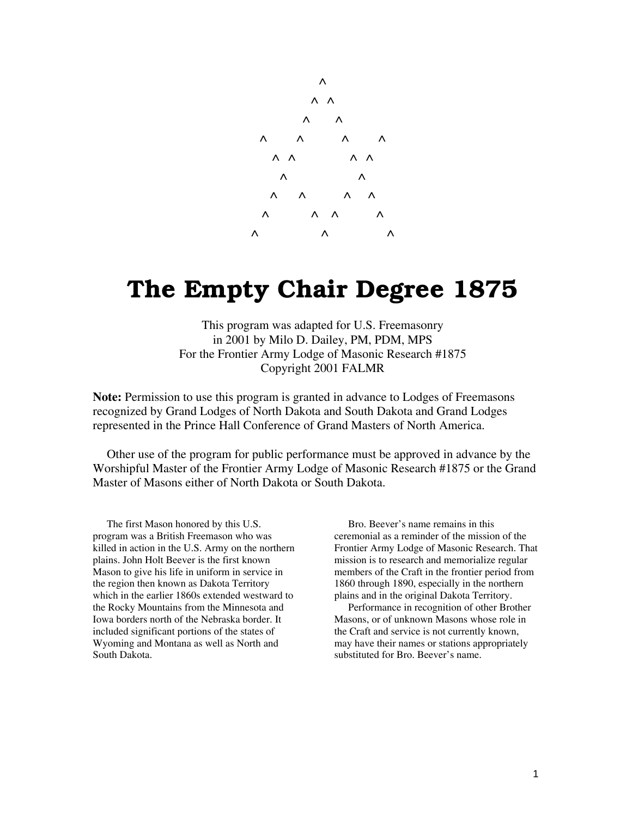

# **The Empty Chair Degree 1875**

This program was adapted for U.S. Freemasonry in 2001 by Milo D. Dailey, PM, PDM, MPS For the Frontier Army Lodge of Masonic Research #1875 Copyright 2001 FALMR

**Note:** Permission to use this program is granted in advance to Lodges of Freemasons recognized by Grand Lodges of North Dakota and South Dakota and Grand Lodges represented in the Prince Hall Conference of Grand Masters of North America.

Other use of the program for public performance must be approved in advance by the Worshipful Master of the Frontier Army Lodge of Masonic Research #1875 or the Grand Master of Masons either of North Dakota or South Dakota.

The first Mason honored by this U.S. program was a British Freemason who was killed in action in the U.S. Army on the northern plains. John Holt Beever is the first known Mason to give his life in uniform in service in the region then known as Dakota Territory which in the earlier 1860s extended westward to the Rocky Mountains from the Minnesota and Iowa borders north of the Nebraska border. It included significant portions of the states of Wyoming and Montana as well as North and South Dakota.

Bro. Beever's name remains in this ceremonial as a reminder of the mission of the Frontier Army Lodge of Masonic Research. That mission is to research and memorialize regular members of the Craft in the frontier period from 1860 through 1890, especially in the northern plains and in the original Dakota Territory.

Performance in recognition of other Brother Masons, or of unknown Masons whose role in the Craft and service is not currently known, may have their names or stations appropriately substituted for Bro. Beever's name.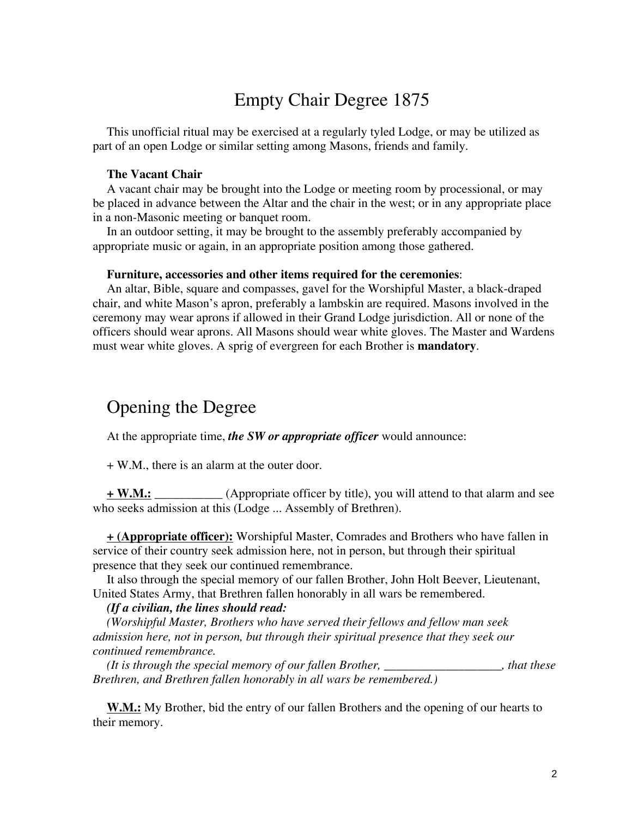# Empty Chair Degree 1875

This unofficial ritual may be exercised at a regularly tyled Lodge, or may be utilized as part of an open Lodge or similar setting among Masons, friends and family.

### **The Vacant Chair**

A vacant chair may be brought into the Lodge or meeting room by processional, or may be placed in advance between the Altar and the chair in the west; or in any appropriate place in a non-Masonic meeting or banquet room.

In an outdoor setting, it may be brought to the assembly preferably accompanied by appropriate music or again, in an appropriate position among those gathered.

#### **Furniture, accessories and other items required for the ceremonies**:

An altar, Bible, square and compasses, gavel for the Worshipful Master, a black-draped chair, and white Mason's apron, preferably a lambskin are required. Masons involved in the ceremony may wear aprons if allowed in their Grand Lodge jurisdiction. All or none of the officers should wear aprons. All Masons should wear white gloves. The Master and Wardens must wear white gloves. A sprig of evergreen for each Brother is **mandatory**.

# Opening the Degree

At the appropriate time, *the SW or appropriate officer* would announce:

+ W.M., there is an alarm at the outer door.

**+ W.M.:** \_\_\_\_\_\_\_\_\_\_\_ (Appropriate officer by title), you will attend to that alarm and see who seeks admission at this (Lodge ... Assembly of Brethren).

**+ (Appropriate officer):** Worshipful Master, Comrades and Brothers who have fallen in service of their country seek admission here, not in person, but through their spiritual presence that they seek our continued remembrance.

It also through the special memory of our fallen Brother, John Holt Beever, Lieutenant, United States Army, that Brethren fallen honorably in all wars be remembered.

#### *(If a civilian, the lines should read:*

*(Worshipful Master, Brothers who have served their fellows and fellow man seek admission here, not in person, but through their spiritual presence that they seek our continued remembrance.* 

*(It is through the special memory of our fallen Brother, \_\_\_\_\_\_\_\_\_\_\_\_\_\_\_\_\_\_\_, that these Brethren, and Brethren fallen honorably in all wars be remembered.)* 

**W.M.:** My Brother, bid the entry of our fallen Brothers and the opening of our hearts to their memory.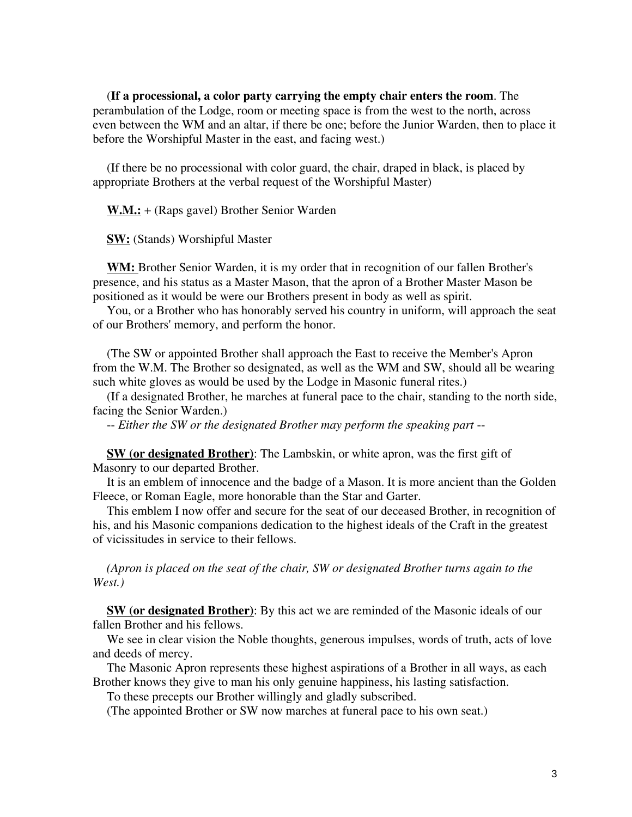(**If a processional, a color party carrying the empty chair enters the room**. The perambulation of the Lodge, room or meeting space is from the west to the north, across even between the WM and an altar, if there be one; before the Junior Warden, then to place it before the Worshipful Master in the east, and facing west.)

(If there be no processional with color guard, the chair, draped in black, is placed by appropriate Brothers at the verbal request of the Worshipful Master)

**W.M.:** + (Raps gavel) Brother Senior Warden

**SW:** (Stands) Worshipful Master

**WM:** Brother Senior Warden, it is my order that in recognition of our fallen Brother's presence, and his status as a Master Mason, that the apron of a Brother Master Mason be positioned as it would be were our Brothers present in body as well as spirit.

You, or a Brother who has honorably served his country in uniform, will approach the seat of our Brothers' memory, and perform the honor.

(The SW or appointed Brother shall approach the East to receive the Member's Apron from the W.M. The Brother so designated, as well as the WM and SW, should all be wearing such white gloves as would be used by the Lodge in Masonic funeral rites.)

(If a designated Brother, he marches at funeral pace to the chair, standing to the north side, facing the Senior Warden.)

-- *Either the SW or the designated Brother may perform the speaking part* --

**SW (or designated Brother)**: The Lambskin, or white apron, was the first gift of Masonry to our departed Brother.

It is an emblem of innocence and the badge of a Mason. It is more ancient than the Golden Fleece, or Roman Eagle, more honorable than the Star and Garter.

This emblem I now offer and secure for the seat of our deceased Brother, in recognition of his, and his Masonic companions dedication to the highest ideals of the Craft in the greatest of vicissitudes in service to their fellows.

*(Apron is placed on the seat of the chair, SW or designated Brother turns again to the West.)* 

**SW (or designated Brother)**: By this act we are reminded of the Masonic ideals of our fallen Brother and his fellows.

We see in clear vision the Noble thoughts, generous impulses, words of truth, acts of love and deeds of mercy.

The Masonic Apron represents these highest aspirations of a Brother in all ways, as each Brother knows they give to man his only genuine happiness, his lasting satisfaction.

To these precepts our Brother willingly and gladly subscribed.

(The appointed Brother or SW now marches at funeral pace to his own seat.)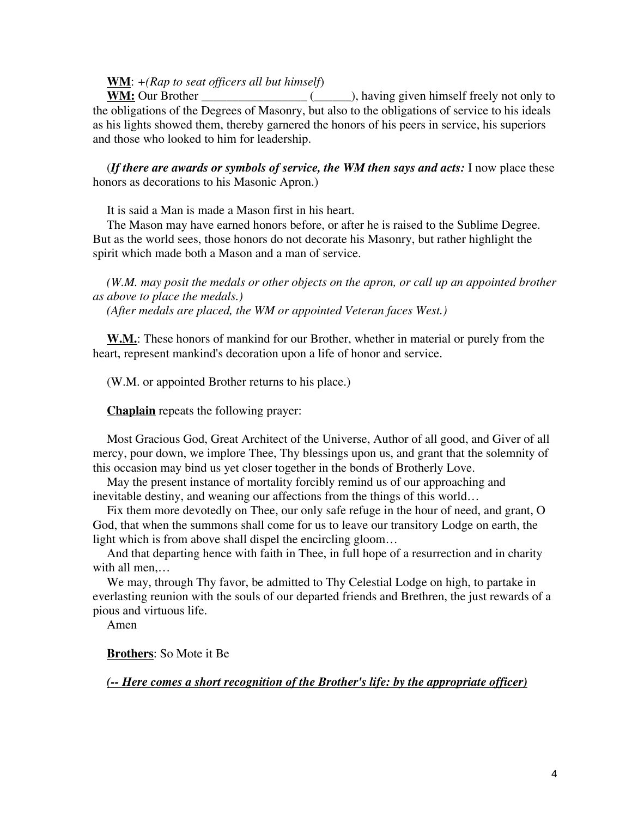### **WM**: *+(Rap to seat officers all but himself*)

**WM:** Our Brother \_\_\_\_\_\_\_\_\_\_\_\_\_\_\_\_\_ (\_\_\_\_\_\_), having given himself freely not only to the obligations of the Degrees of Masonry, but also to the obligations of service to his ideals as his lights showed them, thereby garnered the honors of his peers in service, his superiors and those who looked to him for leadership.

(*If there are awards or symbols of service, the WM then says and acts:* I now place these honors as decorations to his Masonic Apron.)

It is said a Man is made a Mason first in his heart.

The Mason may have earned honors before, or after he is raised to the Sublime Degree. But as the world sees, those honors do not decorate his Masonry, but rather highlight the spirit which made both a Mason and a man of service.

*(W.M. may posit the medals or other objects on the apron, or call up an appointed brother as above to place the medals.)* 

*(After medals are placed, the WM or appointed Veteran faces West.)*

**W.M.**: These honors of mankind for our Brother, whether in material or purely from the heart, represent mankind's decoration upon a life of honor and service.

(W.M. or appointed Brother returns to his place.)

**Chaplain** repeats the following prayer:

Most Gracious God, Great Architect of the Universe, Author of all good, and Giver of all mercy, pour down, we implore Thee, Thy blessings upon us, and grant that the solemnity of this occasion may bind us yet closer together in the bonds of Brotherly Love.

May the present instance of mortality forcibly remind us of our approaching and inevitable destiny, and weaning our affections from the things of this world…

Fix them more devotedly on Thee, our only safe refuge in the hour of need, and grant, O God, that when the summons shall come for us to leave our transitory Lodge on earth, the light which is from above shall dispel the encircling gloom…

And that departing hence with faith in Thee, in full hope of a resurrection and in charity with all men,…

We may, through Thy favor, be admitted to Thy Celestial Lodge on high, to partake in everlasting reunion with the souls of our departed friends and Brethren, the just rewards of a pious and virtuous life.

Amen

**Brothers**: So Mote it Be

*(-- Here comes a short recognition of the Brother's life: by the appropriate officer)*